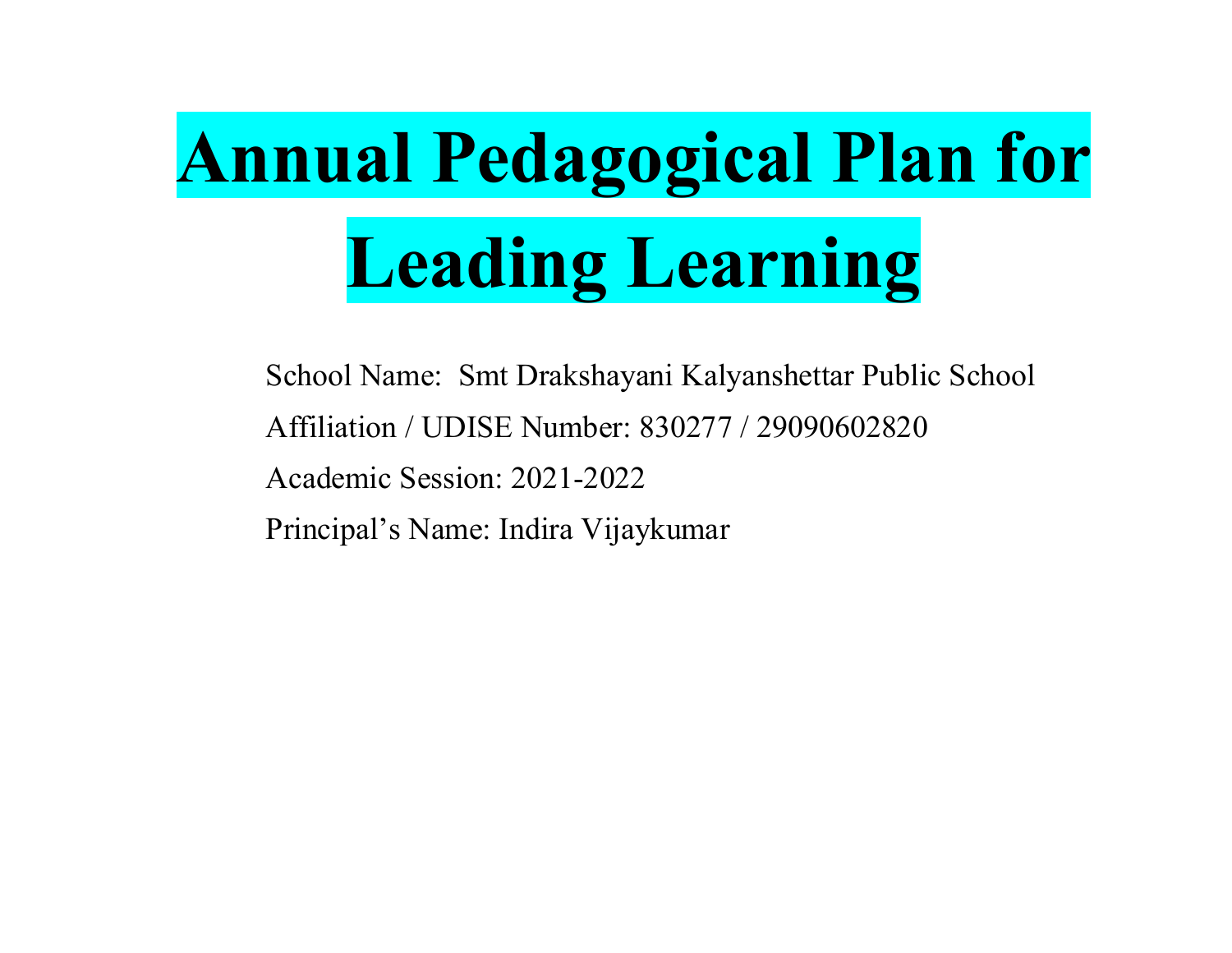# Annual Pedagogical Plan for **al Pedagogical Plan for<br>Leading Learning<br>I Name: Smt Drakshavani Kalvanshettar Public School nual Pedagogical Plan for<br>Leading Learning<br>School Name: Smt Drakshayani Kalyanshettar Public School<br>Affiliation / UDISE Number: 830277 / 29090602820<br>Academic Session: 2021-2022 nual Pedagogical Plan for<br>
Leading Learning<br>
School Name: Smt Drakshayani Kalyanshettar Public School<br>
Affiliation / UDISE Number: 830277 / 29090602820<br>
Academic Session: 2021-2022<br>
Principal's Name: Indira Viiavkumar nual Pedagogical Plan for<br>
Leading Learning**<br>
School Name: Smt Drakshayani Kalyanshettar Public School<br>
Affiliation / UDISE Number: 830277 / 29090602820<br>
Academic Session: 2021-2022<br>
Principal's Name: Indira Vijaykumar

**nual Pedagogical Plan f<br>Leading Learning**<br>School Name: Smt Drakshayani Kalyanshettar Public School<br>Affiliation / UDISE Number: 830277 / 29090602820<br>Academic Session: 2021-2022<br>Principal's Name: Indira Vijaykumar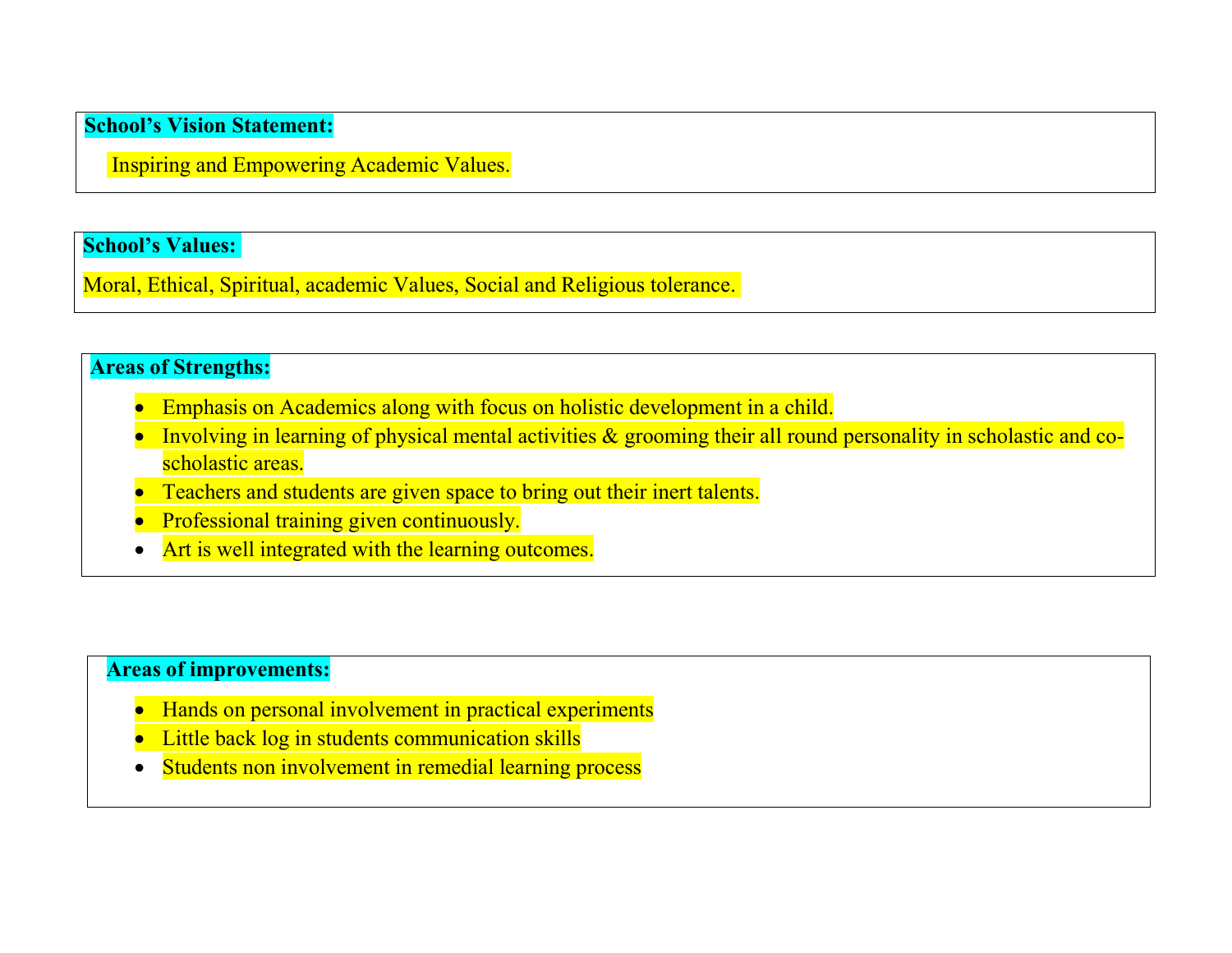**School's Vision Statement:**<br>Inspiring and Empowering Academic Values. nool's Vision Statement:<br>Inspiring and Empowering Academic Values.<br>nool's Values:

School's Vision Statement:<br>Inspiring and Empowering Academic Values.<br>School's Values:<br>Moral, Ethical, Spiritual, academic Values, Social and Religious tole School's Vision Statement:<br>
Inspiring and Empowering Academic Values,<br>
School's Values:<br>
Moral, Ethical, Spiritual, academic Values, Social and Religious tolerance.<br>
Areas of Strengths:

- 
- School's Vision Statement:<br>
Inspiring and Empowering Academic Values.<br>
School's Values:<br>
Moral, Ethical, Spiritual, academic Values, Social and Religious tole<br>
Areas of Strengths:<br>
 Emphasis on Academics along with focus **1. S**<br>
Spiring and Empowering Academic Values.<br> **Example:**<br> **Emphasis on Academics along with focus on holistic development in a child.**<br> **Emphasis on Academics along with focus on holistic development in a child.**<br> **Empl** Involving and Empowering Academic Values.<br>
Involving in learning Academic Values, Social and Religious tolerance.<br>
1998 - Sof Strengths:<br>
1998 - Emphasis on Academics along with focus on holistic development in a child.<br>
1 Vision Statement:<br>
ing and Empowering Academic Values.<br>
Values:<br>
Nalues:<br>
inical, Spiritual, academic Values, Social and Religious tolerance.<br> **Emphasis on Academics along with focus on holistic development in**<br>
Involving **1's Vision Statement:**<br> **1's Values:**<br> **1's Values:**<br> **1's Values:**<br> **1's Values:**<br> **1's Sof Strengths:**<br> **1's of Strengths:**<br> **1's of Strengths:**<br> **1's of Strengths:**<br> **1' 1 o 1 o n o o o o o o o Example 18 Solution**<br>
1's Values:<br>
1's Values:<br>
1. Ethical, Spiritual, academic Values, Social and Religious tolerance.<br>
5. Sof Strengths:<br>
1. Emphasis on Academics along with focus on holistic development in a child.<br>
1. Figure and Empowering Academic Values.<br>
1's Values:<br>
1. Ethical, Spiritual, academic Values, Social and Religious tolerance.<br>
1. Ethical, Spiritual, academics along with focus on holistic development in a child.<br>
1. Implie Social and Religious tolera<br>
Transmark of Strengths:<br>
Transmark of Strengths:<br>
• Emphasis on Academics along with focus on holistic develop<br>
• Involving in learning of physical mental activities & groomin<br>
scholastic areas Sometimes of Strengths:<br>
• Emphasis on Academics along with focus on holistic development in a child.<br>
• Involving in learning of physical mental activities & grooming their all round personality in scholastic<br>
• Techers a **Solution School School School School School School School Schools Community in Schools Constant Control Schools Communication Schools Schools Schools Schools Schools Schools Schools Schools Schools Schools Schools Schools** Solid Strengths:<br>
Solid Strengths on Academics along with focus on holistic development in a child.<br>
Students on Academics along with focus on holistic development in a child.<br>
Scholastic areas:<br>
Chookastic areas:<br>
Chookas
	-
	-
	-

- 
- 
-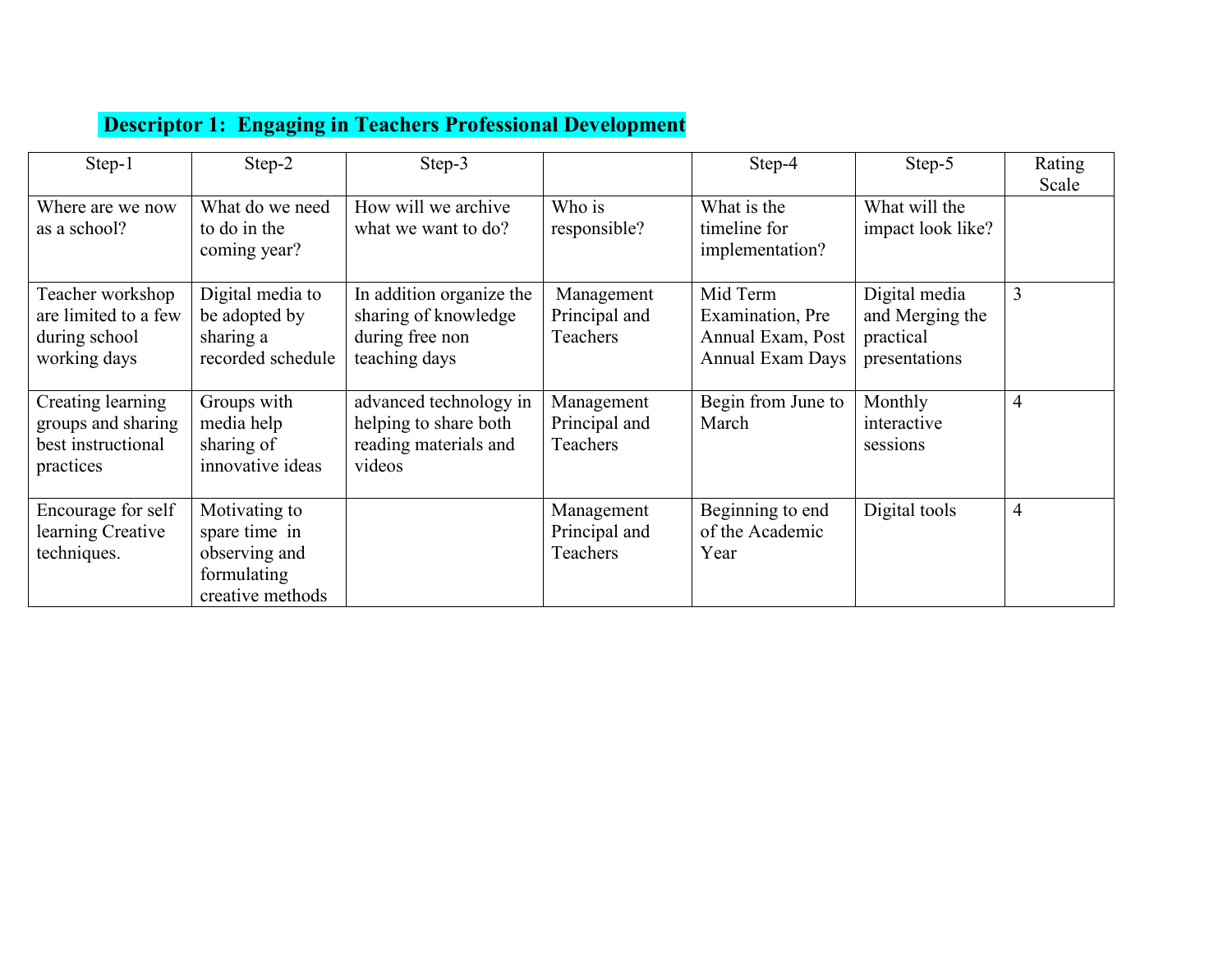|  |  | <b>Descriptor 1: Engaging in Teachers Professional Development</b> |
|--|--|--------------------------------------------------------------------|
|  |  |                                                                    |
|  |  |                                                                    |
|  |  |                                                                    |

| Step-1                                                                     | Step-2                                                                             | Step-3                                                                               |                                         | <b>Descriptor 1: Engaging in Teachers Professional Development</b><br>Step-4 | Step-5                                                         | Rating<br>Scale |
|----------------------------------------------------------------------------|------------------------------------------------------------------------------------|--------------------------------------------------------------------------------------|-----------------------------------------|------------------------------------------------------------------------------|----------------------------------------------------------------|-----------------|
| Where are we now<br>as a school?                                           | What do we need<br>to do in the<br>coming year?                                    | How will we archive<br>what we want to do?                                           | Who is<br>responsible?                  | What is the<br>timeline for<br>implementation?                               | What will the<br>impact look like?                             |                 |
| Teacher workshop<br>are limited to a few<br>during school<br>working days  | Digital media to<br>be adopted by<br>sharing a<br>recorded schedule                | In addition organize the<br>sharing of knowledge<br>during free non<br>teaching days | Management<br>Principal and<br>Teachers | Mid Term<br>Examination, Pre<br>Annual Exam, Post<br><b>Annual Exam Days</b> | Digital media<br>and Merging the<br>practical<br>presentations | $\mathfrak{Z}$  |
| Creating learning<br>groups and sharing<br>best instructional<br>practices | Groups with<br>media help<br>sharing of<br>innovative ideas                        | advanced technology in<br>helping to share both<br>reading materials and<br>videos   | Management<br>Principal and<br>Teachers | Begin from June to<br>March                                                  | Monthly<br>interactive<br>sessions                             | $\overline{4}$  |
| Encourage for self<br>learning Creative<br>techniques.                     | Motivating to<br>spare time in<br>observing and<br>formulating<br>creative methods |                                                                                      | Management<br>Principal and<br>Teachers | Beginning to end<br>of the Academic<br>Year                                  | Digital tools                                                  | $\overline{4}$  |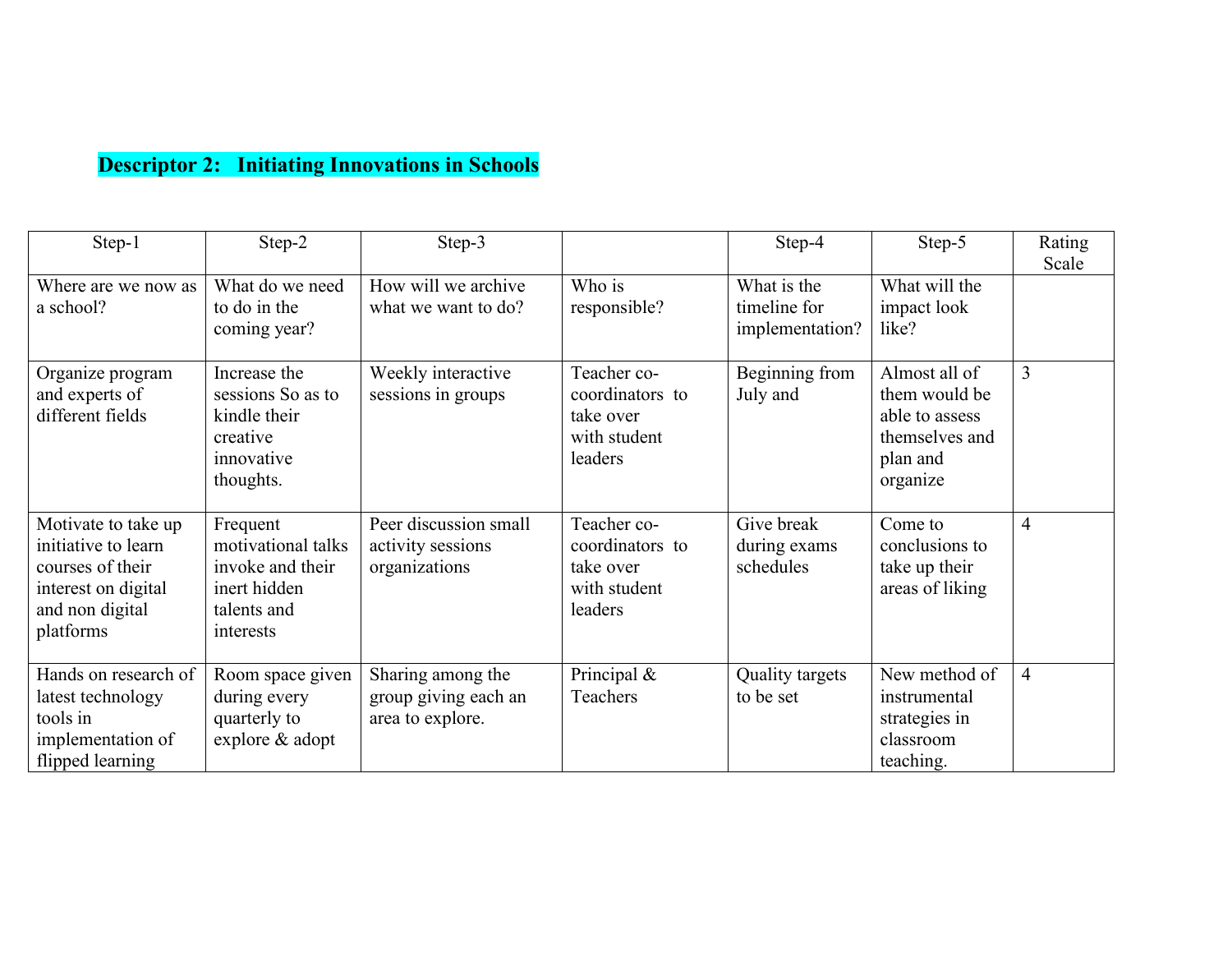|                                                                                                                       |                                                                                                | <b>Descriptor 2: Initiating Innovations in Schools</b>        |                                                                        |                                                |                                                                                            |                 |
|-----------------------------------------------------------------------------------------------------------------------|------------------------------------------------------------------------------------------------|---------------------------------------------------------------|------------------------------------------------------------------------|------------------------------------------------|--------------------------------------------------------------------------------------------|-----------------|
| Step-1                                                                                                                | Step-2                                                                                         | Step-3                                                        |                                                                        | Step-4                                         | Step-5                                                                                     | Rating<br>Scale |
| Where are we now as<br>a school?                                                                                      | What do we need<br>to do in the<br>coming year?                                                | How will we archive<br>what we want to do?                    | Who is<br>responsible?                                                 | What is the<br>timeline for<br>implementation? | What will the<br>impact look<br>like?                                                      |                 |
| Organize program<br>and experts of<br>different fields                                                                | Increase the<br>sessions So as to<br>kindle their<br>creative<br>innovative<br>thoughts.       | Weekly interactive<br>sessions in groups                      | Teacher co-<br>coordinators to<br>take over<br>with student<br>leaders | Beginning from<br>July and                     | Almost all of<br>them would be<br>able to assess<br>themselves and<br>plan and<br>organize | 3               |
| Motivate to take up<br>initiative to learn<br>courses of their<br>interest on digital<br>and non digital<br>platforms | Frequent<br>motivational talks<br>invoke and their<br>inert hidden<br>talents and<br>interests | Peer discussion small<br>activity sessions<br>organizations   | Teacher co-<br>coordinators to<br>take over<br>with student<br>leaders | Give break<br>during exams<br>schedules        | Come to<br>conclusions to<br>take up their<br>areas of liking                              | $\overline{4}$  |
| Hands on research of<br>latest technology<br>tools in<br>implementation of                                            | Room space given<br>during every<br>quarterly to<br>explore & adopt                            | Sharing among the<br>group giving each an<br>area to explore. | Principal &<br>Teachers                                                | Quality targets<br>to be set                   | New method of<br>instrumental<br>strategies in<br>classroom                                | $\overline{4}$  |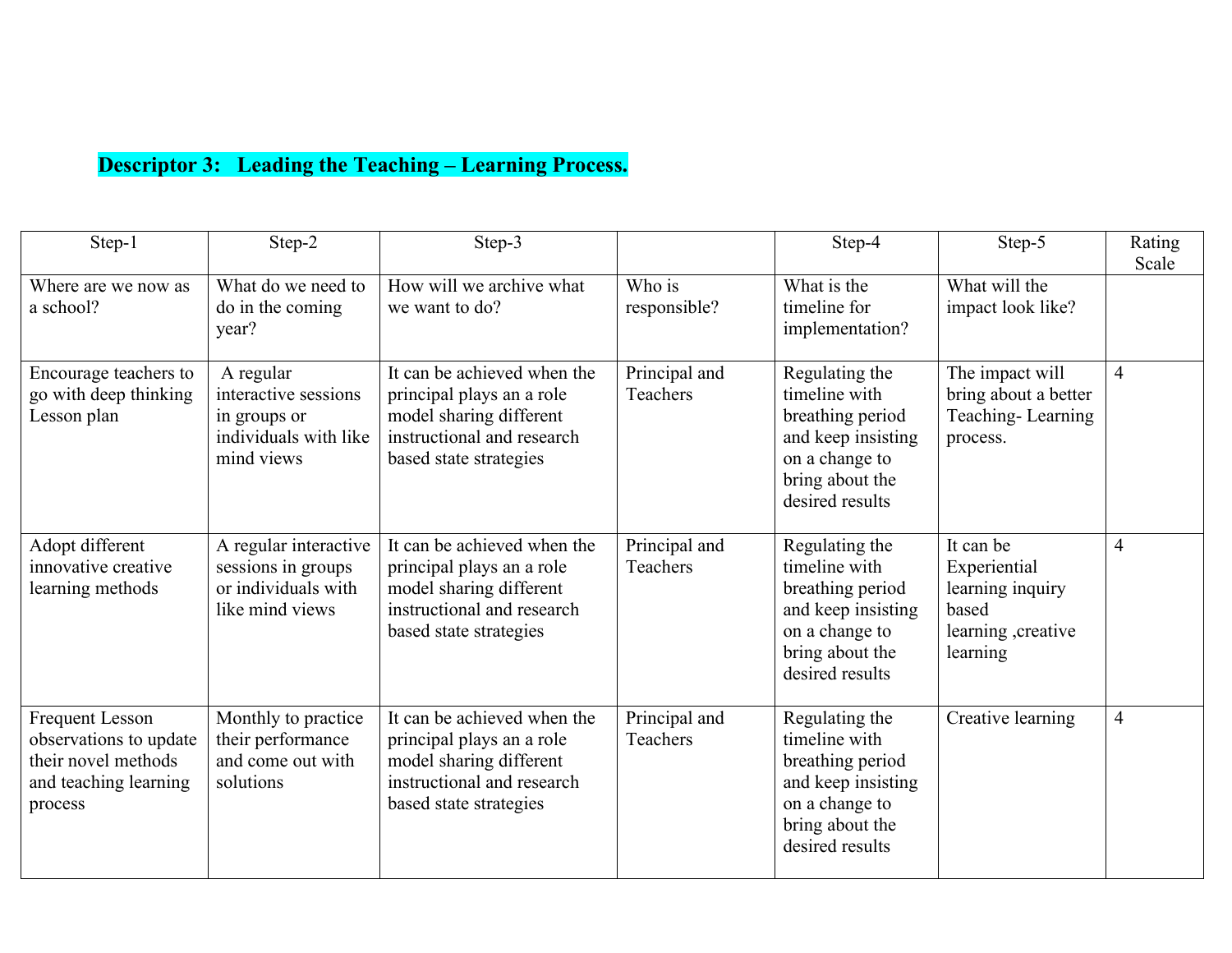| Step-1                                                                                                      | Step-2                                                                                   | <b>Descriptor 3: Leading the Teaching – Learning Process.</b><br>Step-3                                                                     |                           | Step-4                                                                                                                            | Step-5                                                                                    | Rating         |
|-------------------------------------------------------------------------------------------------------------|------------------------------------------------------------------------------------------|---------------------------------------------------------------------------------------------------------------------------------------------|---------------------------|-----------------------------------------------------------------------------------------------------------------------------------|-------------------------------------------------------------------------------------------|----------------|
| Where are we now as<br>a school?                                                                            | What do we need to<br>do in the coming<br>year?                                          | How will we archive what<br>we want to do?                                                                                                  | Who is<br>responsible?    | What is the<br>timeline for<br>implementation?                                                                                    | What will the<br>impact look like?                                                        | Scale          |
| Encourage teachers to<br>go with deep thinking<br>Lesson plan                                               | A regular<br>interactive sessions<br>in groups or<br>individuals with like<br>mind views | It can be achieved when the<br>principal plays an a role<br>model sharing different<br>instructional and research<br>based state strategies | Principal and<br>Teachers | Regulating the<br>timeline with<br>breathing period<br>and keep insisting<br>on a change to<br>bring about the<br>desired results | The impact will<br>bring about a better<br>Teaching-Learning<br>process.                  | $\overline{4}$ |
| Adopt different<br>innovative creative<br>learning methods                                                  | A regular interactive<br>sessions in groups<br>or individuals with<br>like mind views    | It can be achieved when the<br>principal plays an a role<br>model sharing different<br>instructional and research<br>based state strategies | Principal and<br>Teachers | Regulating the<br>timeline with<br>breathing period<br>and keep insisting<br>on a change to<br>bring about the<br>desired results | It can be<br>Experiential<br>learning inquiry<br>based<br>learning , creative<br>learning | $\overline{4}$ |
| <b>Frequent Lesson</b><br>observations to update<br>their novel methods<br>and teaching learning<br>process | Monthly to practice<br>their performance<br>and come out with<br>solutions               | It can be achieved when the<br>principal plays an a role<br>model sharing different<br>instructional and research<br>based state strategies | Principal and<br>Teachers | Regulating the<br>timeline with<br>breathing period<br>and keep insisting<br>on a change to<br>bring about the<br>desired results | Creative learning                                                                         |                |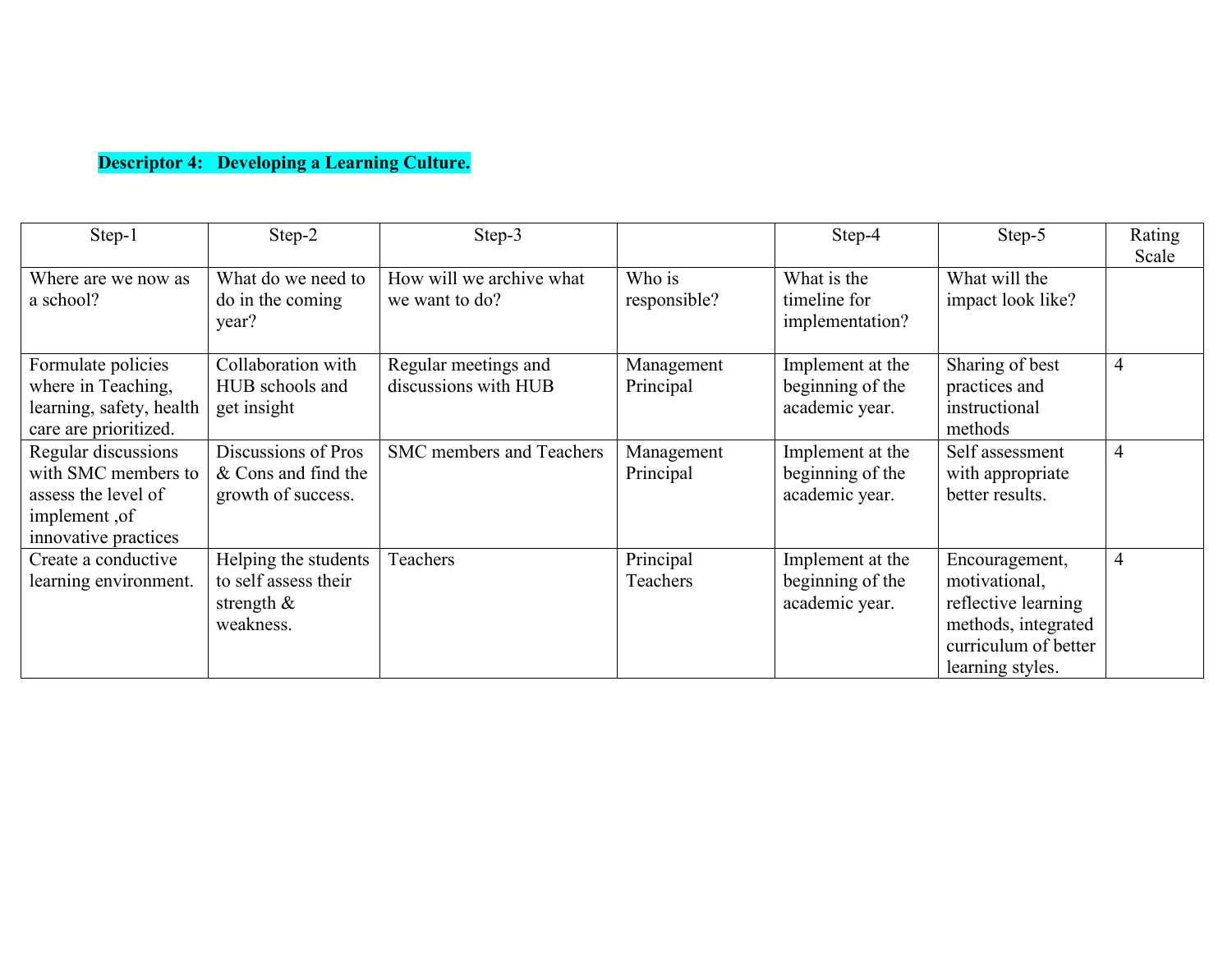|                                                                                                            |                                                                            | <b>Descriptor 4: Developing a Learning Culture.</b> |                         |                                                        |                                                                                                                           |                 |
|------------------------------------------------------------------------------------------------------------|----------------------------------------------------------------------------|-----------------------------------------------------|-------------------------|--------------------------------------------------------|---------------------------------------------------------------------------------------------------------------------------|-----------------|
| Step-1                                                                                                     | Step-2                                                                     | Step-3                                              |                         | Step-4                                                 | Step-5                                                                                                                    | Rating<br>Scale |
| Where are we now as<br>a school?                                                                           | What do we need to<br>do in the coming<br>year?                            | How will we archive what<br>we want to do?          | Who is<br>responsible?  | What is the<br>timeline for<br>implementation?         | What will the<br>impact look like?                                                                                        |                 |
| Formulate policies<br>where in Teaching,<br>learning, safety, health<br>care are prioritized.              | Collaboration with<br>HUB schools and<br>get insight                       | Regular meetings and<br>discussions with HUB        | Management<br>Principal | Implement at the<br>beginning of the<br>academic year. | Sharing of best<br>practices and<br>instructional<br>methods                                                              | $\overline{4}$  |
| Regular discussions<br>with SMC members to<br>assess the level of<br>implement, of<br>innovative practices | Discussions of Pros<br>& Cons and find the<br>growth of success.           | SMC members and Teachers                            | Management<br>Principal | Implement at the<br>beginning of the<br>academic year. | Self assessment<br>with appropriate<br>better results.                                                                    | $\Delta$        |
| Create a conductive<br>learning environment.                                                               | Helping the students<br>to self assess their<br>strength $\&$<br>weakness. | Teachers                                            | Principal<br>Teachers   | Implement at the<br>beginning of the<br>academic year. | Encouragement,<br>motivational,<br>reflective learning<br>methods, integrated<br>curriculum of better<br>learning styles. |                 |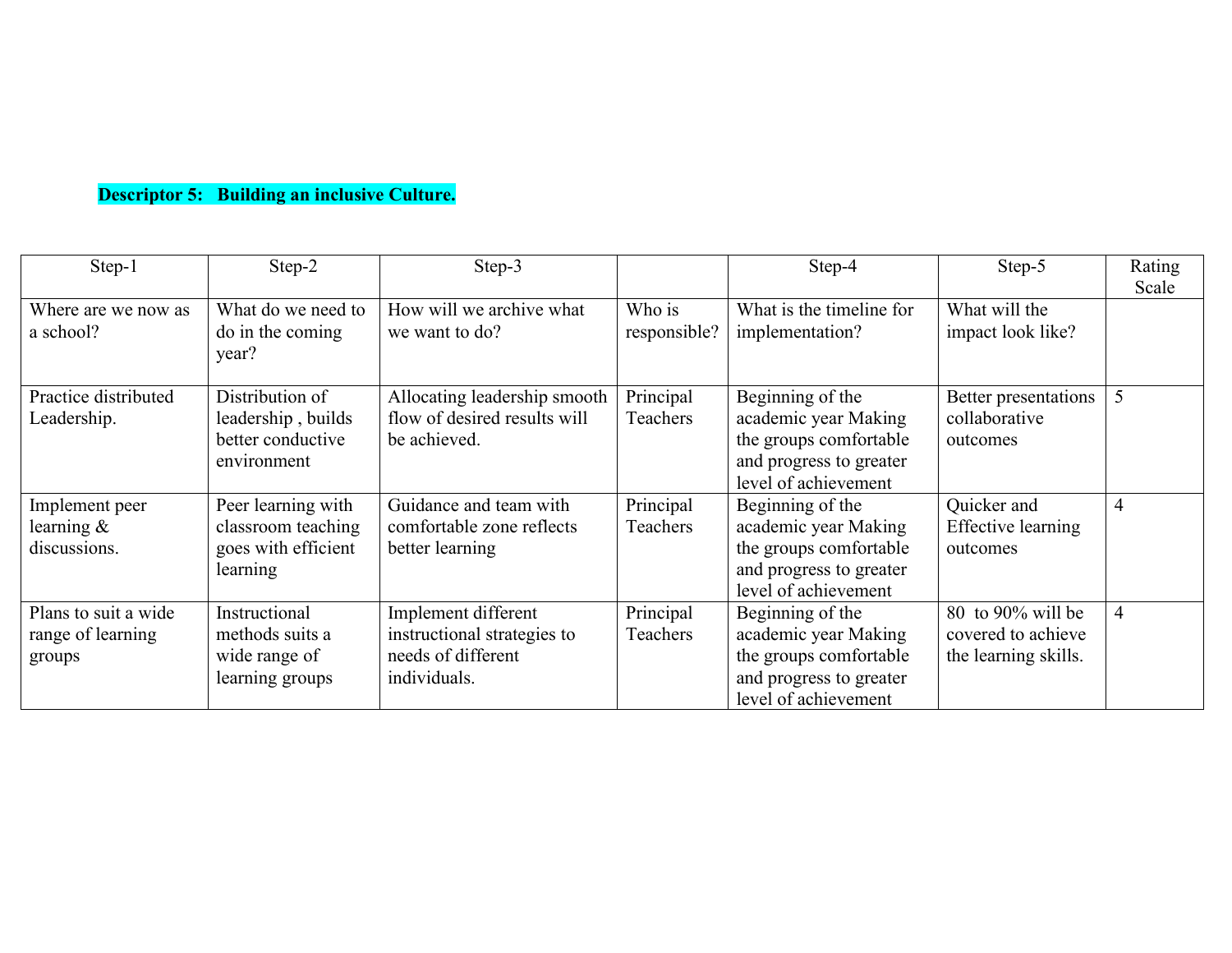|                                                     |                                                                             | <b>Descriptor 5: Building an inclusive Culture.</b>                                      |                        |                                                                                                                       |                                                                 |                 |
|-----------------------------------------------------|-----------------------------------------------------------------------------|------------------------------------------------------------------------------------------|------------------------|-----------------------------------------------------------------------------------------------------------------------|-----------------------------------------------------------------|-----------------|
| Step-1                                              | Step-2                                                                      | Step-3                                                                                   |                        | Step-4                                                                                                                | Step-5                                                          | Rating<br>Scale |
| Where are we now as<br>a school?                    | What do we need to<br>do in the coming<br>year?                             | How will we archive what<br>we want to do?                                               | Who is<br>responsible? | What is the timeline for<br>implementation?                                                                           | What will the<br>impact look like?                              |                 |
| Practice distributed<br>Leadership.                 | Distribution of<br>leadership, builds<br>better conductive<br>environment   | Allocating leadership smooth<br>flow of desired results will<br>be achieved.             | Principal<br>Teachers  | Beginning of the<br>academic year Making<br>the groups comfortable<br>and progress to greater<br>level of achievement | Better presentations<br>collaborative<br>outcomes               | $\overline{5}$  |
| Implement peer<br>learning &<br>discussions.        | Peer learning with<br>classroom teaching<br>goes with efficient<br>learning | Guidance and team with<br>comfortable zone reflects<br>better learning                   | Principal<br>Teachers  | Beginning of the<br>academic year Making<br>the groups comfortable<br>and progress to greater<br>level of achievement | Quicker and<br><b>Effective learning</b><br>outcomes            | $\overline{4}$  |
| Plans to suit a wide<br>range of learning<br>groups | Instructional<br>methods suits a<br>wide range of<br>learning groups        | Implement different<br>instructional strategies to<br>needs of different<br>individuals. | Principal<br>Teachers  | Beginning of the<br>academic year Making<br>the groups comfortable<br>and progress to greater<br>level of achievement | 80 to 90% will be<br>covered to achieve<br>the learning skills. |                 |